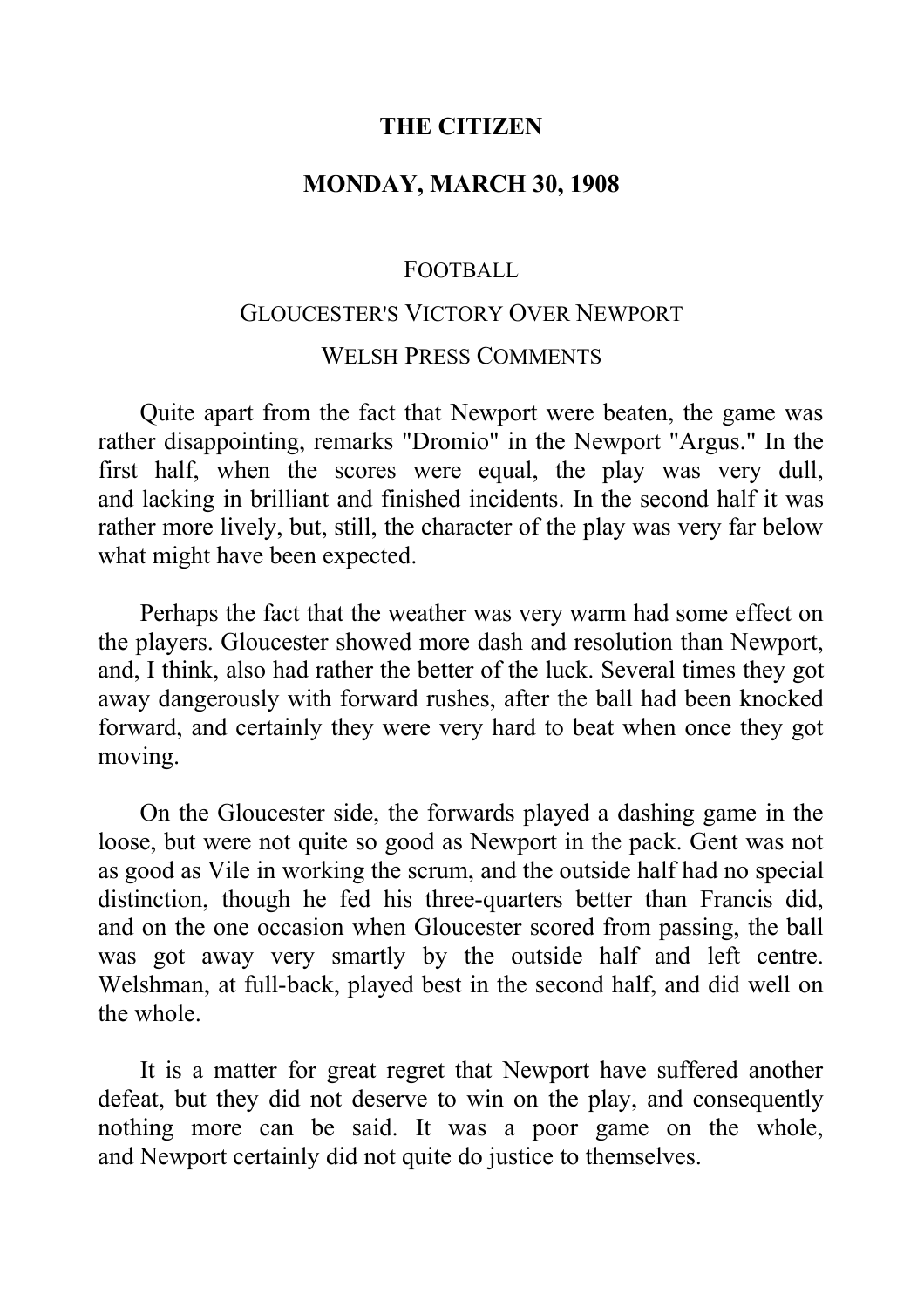#### **THE CITIZEN**

### **MONDAY, MARCH 30, 1908**

#### FOOTBALL

# GLOUCESTER'S VICTORY OVER NEWPORT WELSH PRESS COMMENTS

Quite apart from the fact that Newport were beaten, the game was rather disappointing, remarks "Dromio" in the Newport "Argus." In the first half, when the scores were equal, the play was very dull, and lacking in brilliant and finished incidents. In the second half it was rather more lively, but, still, the character of the play was very far below what might have been expected.

Perhaps the fact that the weather was very warm had some effect on the players. Gloucester showed more dash and resolution than Newport, and, I think, also had rather the better of the luck. Several times they got away dangerously with forward rushes, after the ball had been knocked forward, and certainly they were very hard to beat when once they got moving.

On the Gloucester side, the forwards played a dashing game in the loose, but were not quite so good as Newport in the pack. Gent was not as good as Vile in working the scrum, and the outside half had no special distinction, though he fed his three-quarters better than Francis did, and on the one occasion when Gloucester scored from passing, the ball was got away very smartly by the outside half and left centre. Welshman, at full-back, played best in the second half, and did well on the whole.

It is a matter for great regret that Newport have suffered another defeat, but they did not deserve to win on the play, and consequently nothing more can be said. It was a poor game on the whole, and Newport certainly did not quite do justice to themselves.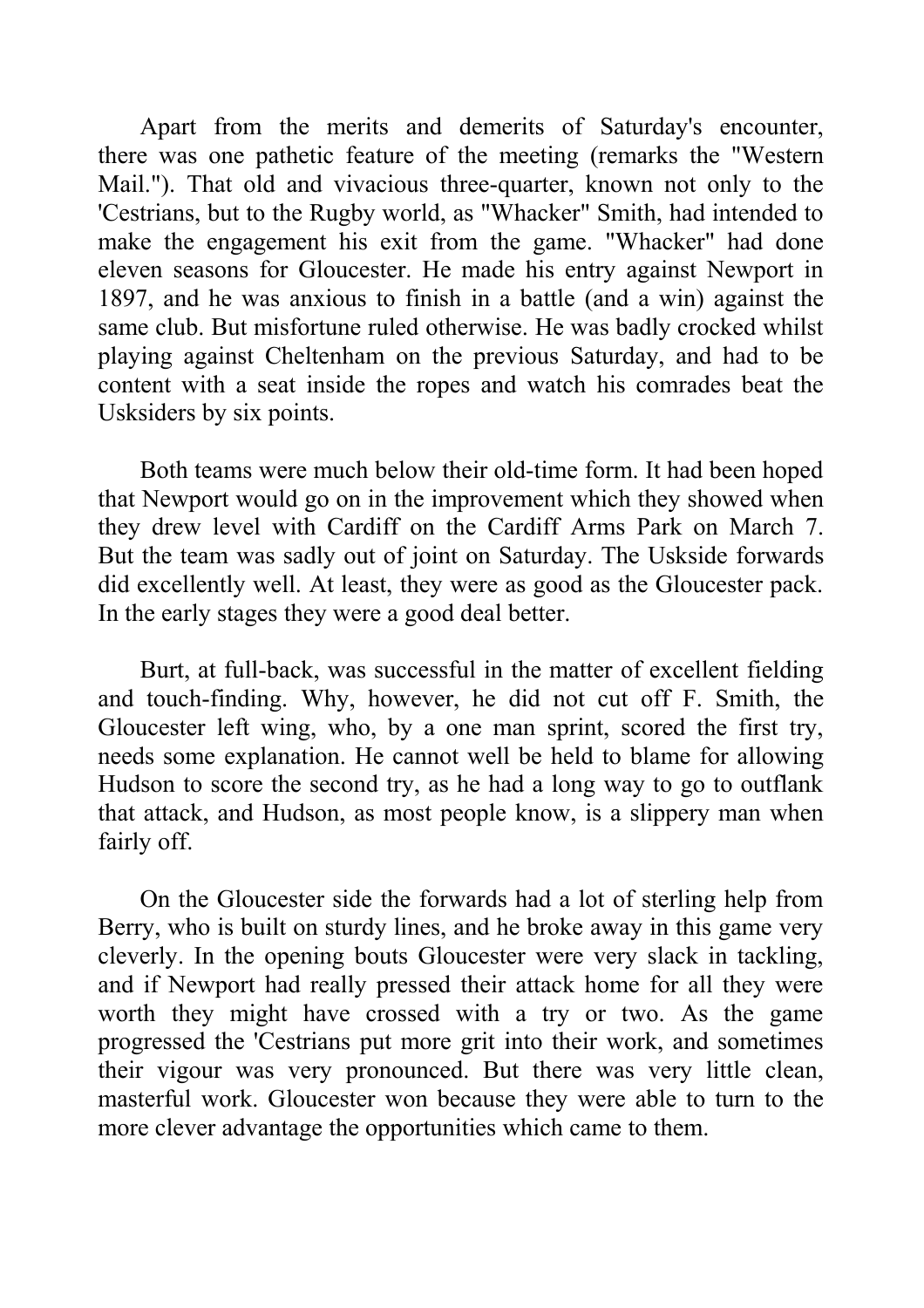Apart from the merits and demerits of Saturday's encounter, there was one pathetic feature of the meeting (remarks the "Western Mail."). That old and vivacious three-quarter, known not only to the 'Cestrians, but to the Rugby world, as "Whacker" Smith, had intended to make the engagement his exit from the game. "Whacker" had done eleven seasons for Gloucester. He made his entry against Newport in 1897, and he was anxious to finish in a battle (and a win) against the same club. But misfortune ruled otherwise. He was badly crocked whilst playing against Cheltenham on the previous Saturday, and had to be content with a seat inside the ropes and watch his comrades beat the Usksiders by six points.

Both teams were much below their old-time form. It had been hoped that Newport would go on in the improvement which they showed when they drew level with Cardiff on the Cardiff Arms Park on March 7. But the team was sadly out of joint on Saturday. The Uskside forwards did excellently well. At least, they were as good as the Gloucester pack. In the early stages they were a good deal better.

Burt, at full-back, was successful in the matter of excellent fielding and touch-finding. Why, however, he did not cut off F. Smith, the Gloucester left wing, who, by a one man sprint, scored the first try, needs some explanation. He cannot well be held to blame for allowing Hudson to score the second try, as he had a long way to go to outflank that attack, and Hudson, as most people know, is a slippery man when fairly off.

On the Gloucester side the forwards had a lot of sterling help from Berry, who is built on sturdy lines, and he broke away in this game very cleverly. In the opening bouts Gloucester were very slack in tackling, and if Newport had really pressed their attack home for all they were worth they might have crossed with a try or two. As the game progressed the 'Cestrians put more grit into their work, and sometimes their vigour was very pronounced. But there was very little clean, masterful work. Gloucester won because they were able to turn to the more clever advantage the opportunities which came to them.